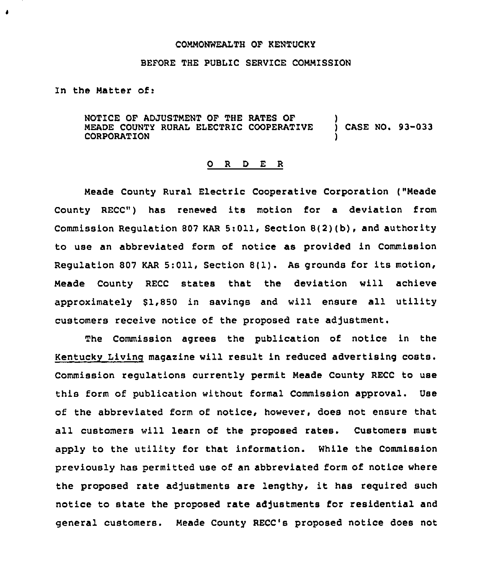## COMMONWEALTH OF KENTUCKY

## BEFORE THE PUBLIC SERVICE COMMISSION

In the Matter of:

 $\bullet$ 

NOTICE OF ADJUSTMENT OF THE RATES OF MEADE COUNTY RURAL ELECTRIC COOPERATIVE CORPORATION ) ) CASE NO. 93-033 )

## 0 <sup>R</sup> <sup>D</sup> E <sup>R</sup>

Meade County Rural Electric Cooperative Corporation ("Meade County RECC") has renewed its motion for <sup>a</sup> deviation from Commission Regulation <sup>807</sup> KAR 5:011, Section 8(2)(b), and authority to use an abbreviated form of notice as provided in Commission Regulation <sup>807</sup> KAR 5:011, Section 8(1). As grounds for its motion, Meade County RECC states that the deviation will achieve approximately \$1,850 in savings and will ensure all utility customers receive notice of the proposed rate adjustment.

The Commission agrees the publication of notice in the Kentucky Living magazine will result in reduced advertising costs. Commission regulations currently permit Meade County RECC to use this form of publication without formal Commission approval. Use of the abbreviated form of notice, however, does not ensure that all customers will learn of the proposed rates. Customers must apply to the utility for that information. While the Commission previously has permitted use of an abbreviated form of notice where the proposed rate adjustments are lengthy, it has required such notice to state the proposed rate adjustments for residential and general customers. Meade County RECC's proposed notice does not